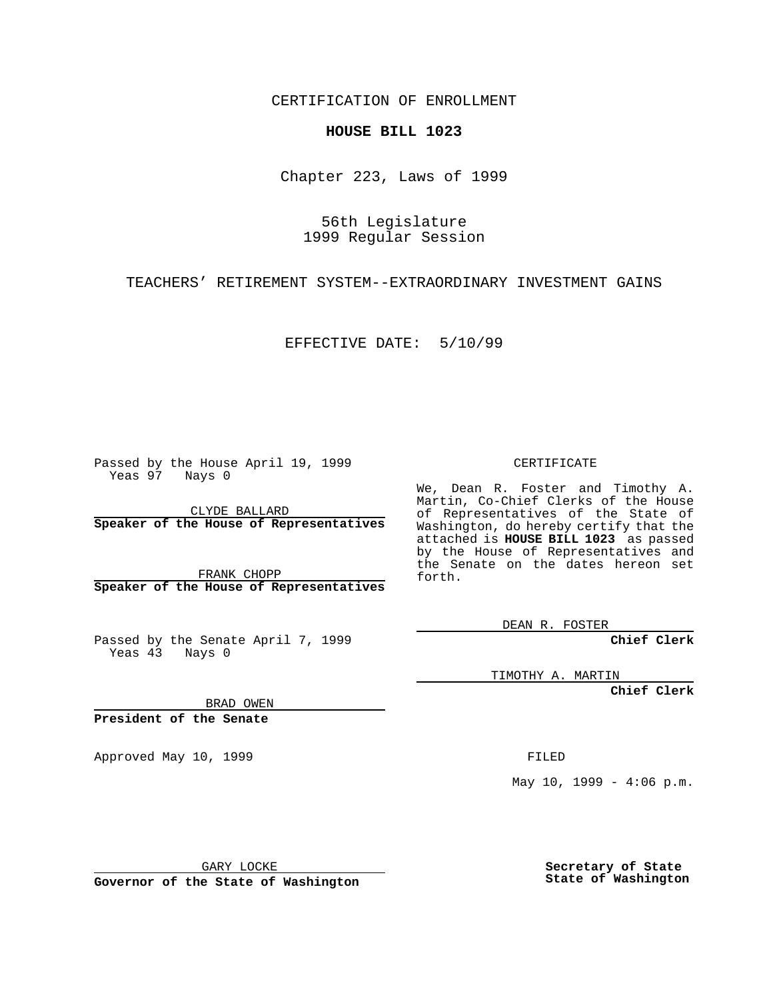CERTIFICATION OF ENROLLMENT

## **HOUSE BILL 1023**

Chapter 223, Laws of 1999

56th Legislature 1999 Regular Session

TEACHERS' RETIREMENT SYSTEM--EXTRAORDINARY INVESTMENT GAINS

EFFECTIVE DATE: 5/10/99

Passed by the House April 19, 1999 Yeas 97 Nays 0

CLYDE BALLARD **Speaker of the House of Representatives**

FRANK CHOPP **Speaker of the House of Representatives**

Passed by the Senate April 7, 1999 Yeas 43 Nays 0

CERTIFICATE

We, Dean R. Foster and Timothy A. Martin, Co-Chief Clerks of the House of Representatives of the State of Washington, do hereby certify that the attached is **HOUSE BILL 1023** as passed by the House of Representatives and the Senate on the dates hereon set forth.

DEAN R. FOSTER

**Chief Clerk**

TIMOTHY A. MARTIN

**Chief Clerk**

BRAD OWEN

**President of the Senate**

Approved May 10, 1999 **FILED** 

 $May 10, 1999 - 4:06 p.m.$ 

GARY LOCKE

**Governor of the State of Washington**

**Secretary of State State of Washington**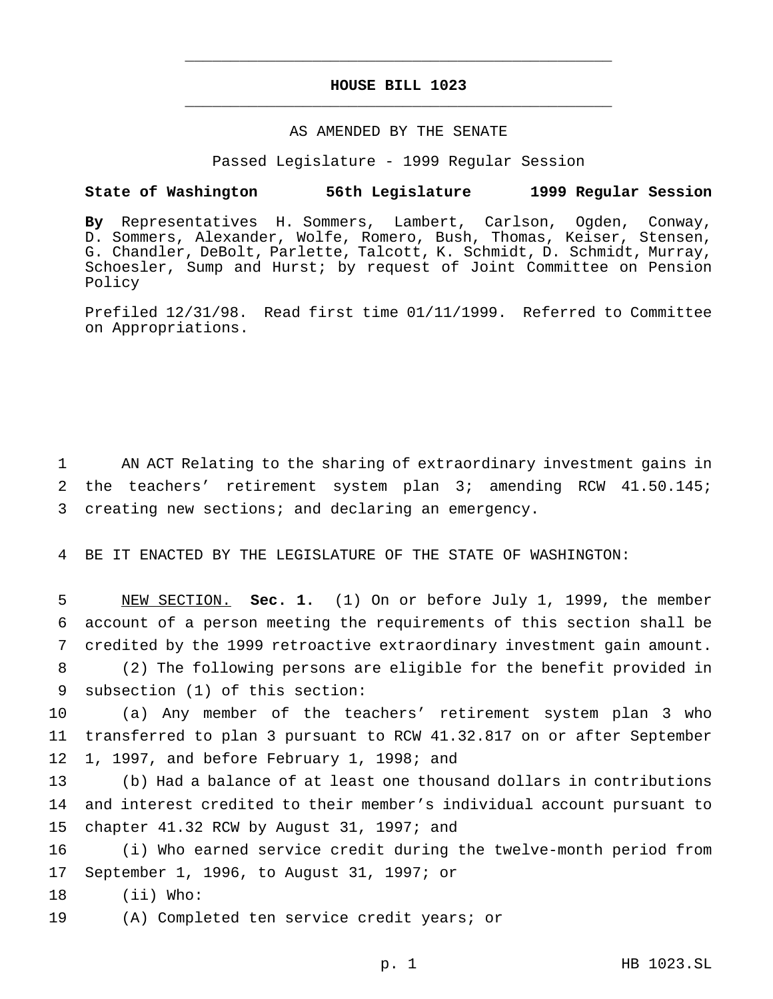## **HOUSE BILL 1023** \_\_\_\_\_\_\_\_\_\_\_\_\_\_\_\_\_\_\_\_\_\_\_\_\_\_\_\_\_\_\_\_\_\_\_\_\_\_\_\_\_\_\_\_\_\_\_

\_\_\_\_\_\_\_\_\_\_\_\_\_\_\_\_\_\_\_\_\_\_\_\_\_\_\_\_\_\_\_\_\_\_\_\_\_\_\_\_\_\_\_\_\_\_\_

## AS AMENDED BY THE SENATE

Passed Legislature - 1999 Regular Session

## **State of Washington 56th Legislature 1999 Regular Session**

**By** Representatives H. Sommers, Lambert, Carlson, Ogden, Conway, D. Sommers, Alexander, Wolfe, Romero, Bush, Thomas, Keiser, Stensen, G. Chandler, DeBolt, Parlette, Talcott, K. Schmidt, D. Schmidt, Murray, Schoesler, Sump and Hurst; by request of Joint Committee on Pension Policy

Prefiled 12/31/98. Read first time 01/11/1999. Referred to Committee on Appropriations.

1 AN ACT Relating to the sharing of extraordinary investment gains in 2 the teachers' retirement system plan 3; amending RCW 41.50.145; 3 creating new sections; and declaring an emergency.

4 BE IT ENACTED BY THE LEGISLATURE OF THE STATE OF WASHINGTON:

 NEW SECTION. **Sec. 1.** (1) On or before July 1, 1999, the member account of a person meeting the requirements of this section shall be credited by the 1999 retroactive extraordinary investment gain amount. (2) The following persons are eligible for the benefit provided in subsection (1) of this section:

10 (a) Any member of the teachers' retirement system plan 3 who 11 transferred to plan 3 pursuant to RCW 41.32.817 on or after September 12 1, 1997, and before February 1, 1998; and

13 (b) Had a balance of at least one thousand dollars in contributions 14 and interest credited to their member's individual account pursuant to 15 chapter 41.32 RCW by August 31, 1997; and

16 (i) Who earned service credit during the twelve-month period from 17 September 1, 1996, to August 31, 1997; or

18 (ii) Who:

19 (A) Completed ten service credit years; or

p. 1 HB 1023.SL